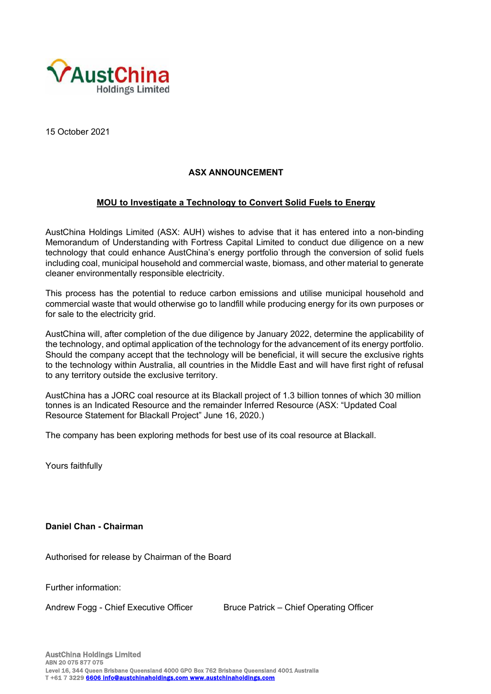

15 October 2021

## **ASX ANNOUNCEMENT**

## **MOU to Investigate a Technology to Convert Solid Fuels to Energy**

AustChina Holdings Limited (ASX: AUH) wishes to advise that it has entered into a non-binding Memorandum of Understanding with Fortress Capital Limited to conduct due diligence on a new technology that could enhance AustChina's energy portfolio through the conversion of solid fuels including coal, municipal household and commercial waste, biomass, and other material to generate cleaner environmentally responsible electricity.

This process has the potential to reduce carbon emissions and utilise municipal household and commercial waste that would otherwise go to landfill while producing energy for its own purposes or for sale to the electricity grid.

AustChina will, after completion of the due diligence by January 2022, determine the applicability of the technology, and optimal application of the technology for the advancement of its energy portfolio. Should the company accept that the technology will be beneficial, it will secure the exclusive rights to the technology within Australia, all countries in the Middle East and will have first right of refusal to any territory outside the exclusive territory.

AustChina has a JORC coal resource at its Blackall project of 1.3 billion tonnes of which 30 million tonnes is an Indicated Resource and the remainder Inferred Resource (ASX: "Updated Coal Resource Statement for Blackall Project" June 16, 2020.)

The company has been exploring methods for best use of its coal resource at Blackall.

Yours faithfully

**Daniel Chan - Chairman** 

Authorised for release by Chairman of the Board

Further information:

Andrew Fogg - Chief Executive Officer Bruce Patrick – Chief Operating Officer